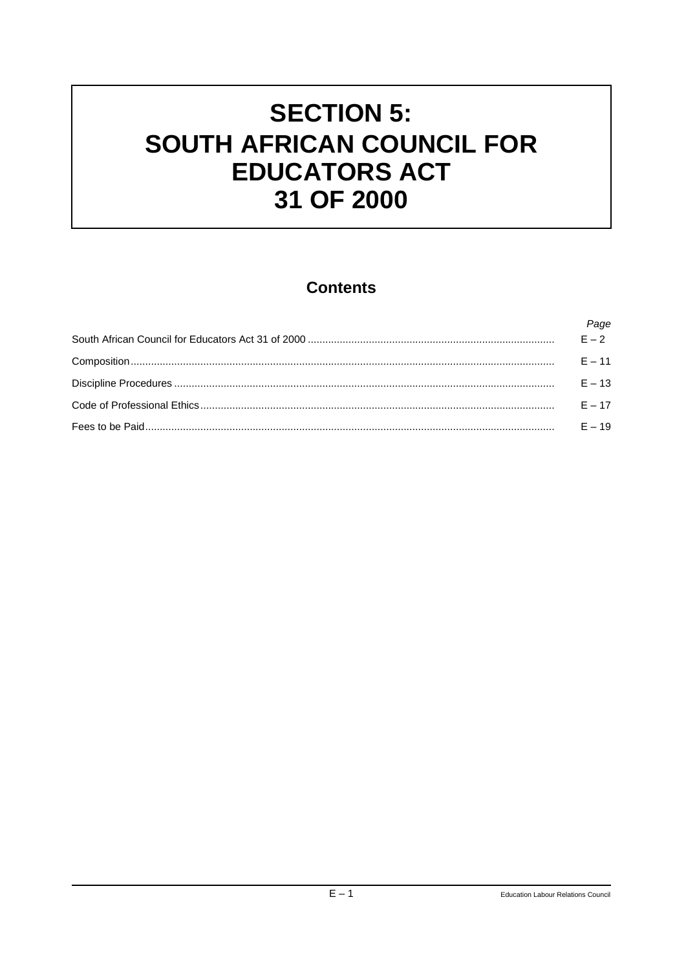# **SECTION 5:** SOUTH AFRICAN COUNCIL FOR **EDUCATORS ACT** 31 OF 2000

# **Contents**

| Page     |
|----------|
| $E - 2$  |
| $F = 11$ |
| $F = 13$ |
| $F = 17$ |
| $F = 19$ |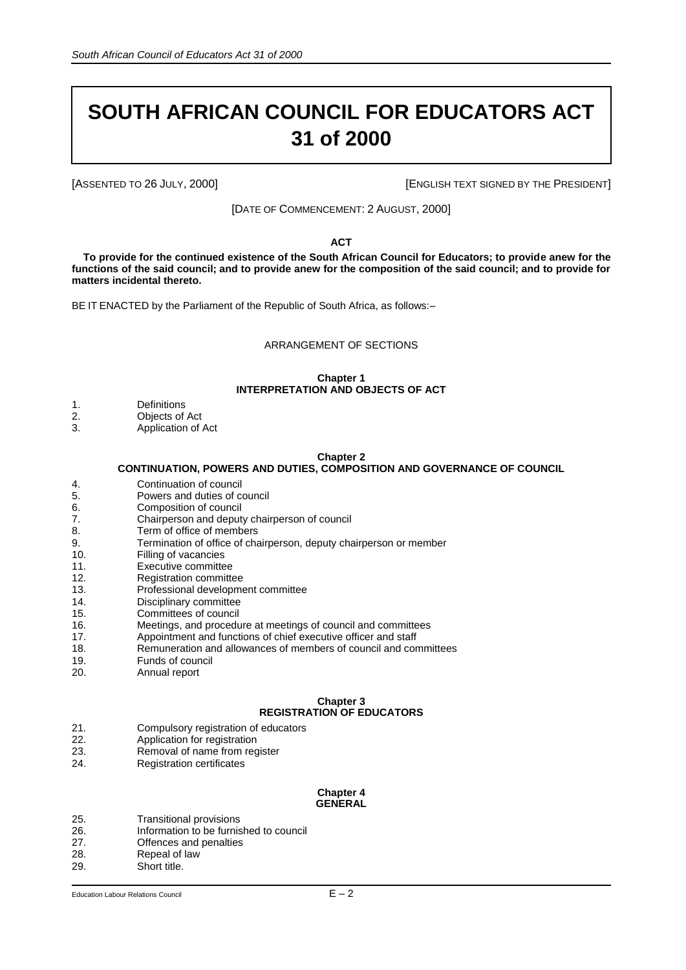# **SOUTH AFRICAN COUNCIL FOR EDUCATORS ACT 31 of 2000**

[ASSENTED TO 26 JULY, 2000] **[ENGLISH TEXT SIGNED BY THE PRESIDENT**]

[DATE OF COMMENCEMENT: 2 AUGUST, 2000]

**ACT**

**To provide for the continued existence of the South African Council for Educators; to provide anew for the functions of the said council; and to provide anew for the composition of the said council; and to provide for matters incidental thereto.**

BE IT ENACTED by the Parliament of the Republic of South Africa, as follows:–

#### ARRANGEMENT OF SECTIONS

#### **Chapter 1 INTERPRETATION AND OBJECTS OF ACT**

- 1. Definitions
- 2. Objects of Act<br>3. Application of
- Application of Act

#### **Chapter 2**

#### **CONTINUATION, POWERS AND DUTIES, COMPOSITION AND GOVERNANCE OF COUNCIL**

- 4. Continuation of council
- 5. Powers and duties of council
- 6. Composition of council
- 7. Chairperson and deputy chairperson of council
- 8. Term of office of members
- 9. Termination of office of chairperson, deputy chairperson or member
- 10. Filling of vacancies
- 11. Executive committee
- 12. Registration committee
- 13. Professional development committee
- 14. Disciplinary committee
- 15. Committees of council 16. Meetings, and procedure at meetings of council and committees
- 17. Appointment and functions of chief executive officer and staff
- 18. Remuneration and allowances of members of council and committees<br>19. Funds of council
- 
- 19. Funds of council<br>20. Annual report Annual report

#### **Chapter 3 REGISTRATION OF EDUCATORS**

- 21. Compulsory registration of educators
- 22. Application for registration<br>23. Removal of name from rec
- Removal of name from register
- 24. Registration certificates

#### **Chapter 4 GENERAL**

- 25. Transitional provisions
- 26. Information to be furnished to council
- 27. **Offences and penalties**<br>28. **Repeal of law**
- Repeal of law
- 29. Short title.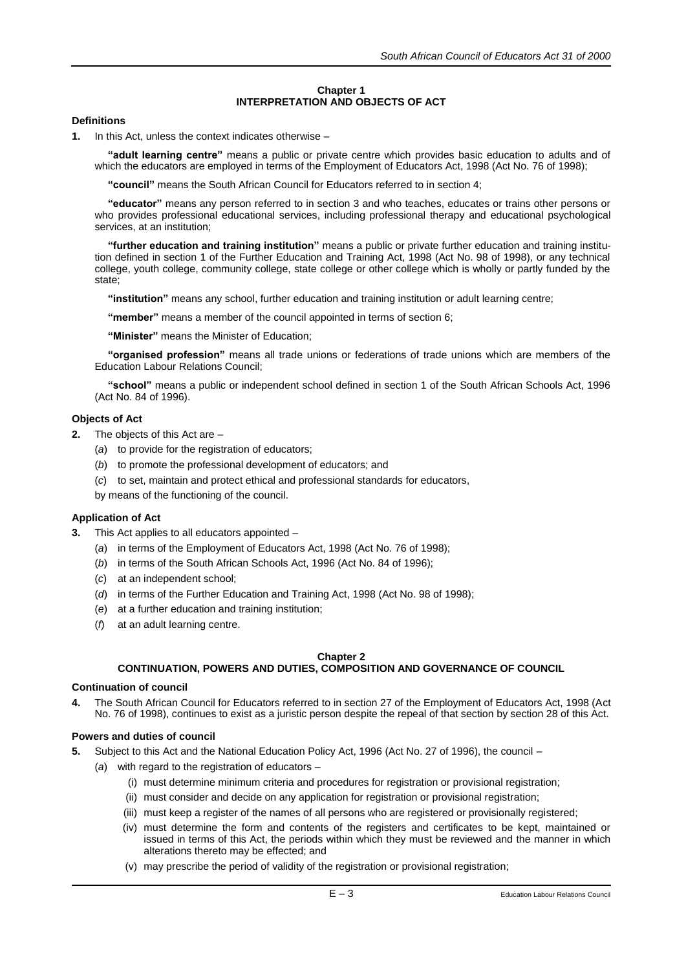## **Chapter 1 INTERPRETATION AND OBJECTS OF ACT**

# **Definitions**

**1.** In this Act, unless the context indicates otherwise –

**"adult learning centre"** means a public or private centre which provides basic education to adults and of which the educators are employed in terms of the Employment of Educators Act, 1998 (Act No. 76 of 1998);

**"council"** means the South African Council for Educators referred to in section 4;

**"educator"** means any person referred to in section 3 and who teaches, educates or trains other persons or who provides professional educational services, including professional therapy and educational psychological services, at an institution;

**"further education and training institution"** means a public or private further education and training institution defined in section 1 of the Further Education and Training Act, 1998 (Act No. 98 of 1998), or any technical college, youth college, community college, state college or other college which is wholly or partly funded by the state;

**"institution"** means any school, further education and training institution or adult learning centre;

**"member"** means a member of the council appointed in terms of section 6;

**"Minister"** means the Minister of Education;

**"organised profession"** means all trade unions or federations of trade unions which are members of the Education Labour Relations Council;

**"school"** means a public or independent school defined in section 1 of the South African Schools Act, 1996 (Act No. 84 of 1996).

# **Objects of Act**

- **2.** The objects of this Act are
	- (*a*) to provide for the registration of educators;
	- (*b*) to promote the professional development of educators; and
	- (*c*) to set, maintain and protect ethical and professional standards for educators,

by means of the functioning of the council.

# **Application of Act**

- **3.** This Act applies to all educators appointed
	- (*a*) in terms of the Employment of Educators Act, 1998 (Act No. 76 of 1998);
	- (*b*) in terms of the South African Schools Act, 1996 (Act No. 84 of 1996);
	- (*c*) at an independent school;
	- (*d*) in terms of the Further Education and Training Act, 1998 (Act No. 98 of 1998);
	- (*e*) at a further education and training institution;
	- (*f*) at an adult learning centre.

# **Chapter 2**

# **CONTINUATION, POWERS AND DUTIES, COMPOSITION AND GOVERNANCE OF COUNCIL**

# **Continuation of council**

**4.** The South African Council for Educators referred to in section 27 of the Employment of Educators Act, 1998 (Act No. 76 of 1998), continues to exist as a juristic person despite the repeal of that section by section 28 of this Act.

# **Powers and duties of council**

- **5.** Subject to this Act and the National Education Policy Act, 1996 (Act No. 27 of 1996), the council
	- (*a*) with regard to the registration of educators
		- (i) must determine minimum criteria and procedures for registration or provisional registration;
		- (ii) must consider and decide on any application for registration or provisional registration;
		- (iii) must keep a register of the names of all persons who are registered or provisionally registered;
		- (iv) must determine the form and contents of the registers and certificates to be kept, maintained or issued in terms of this Act, the periods within which they must be reviewed and the manner in which alterations thereto may be effected; and
		- (v) may prescribe the period of validity of the registration or provisional registration;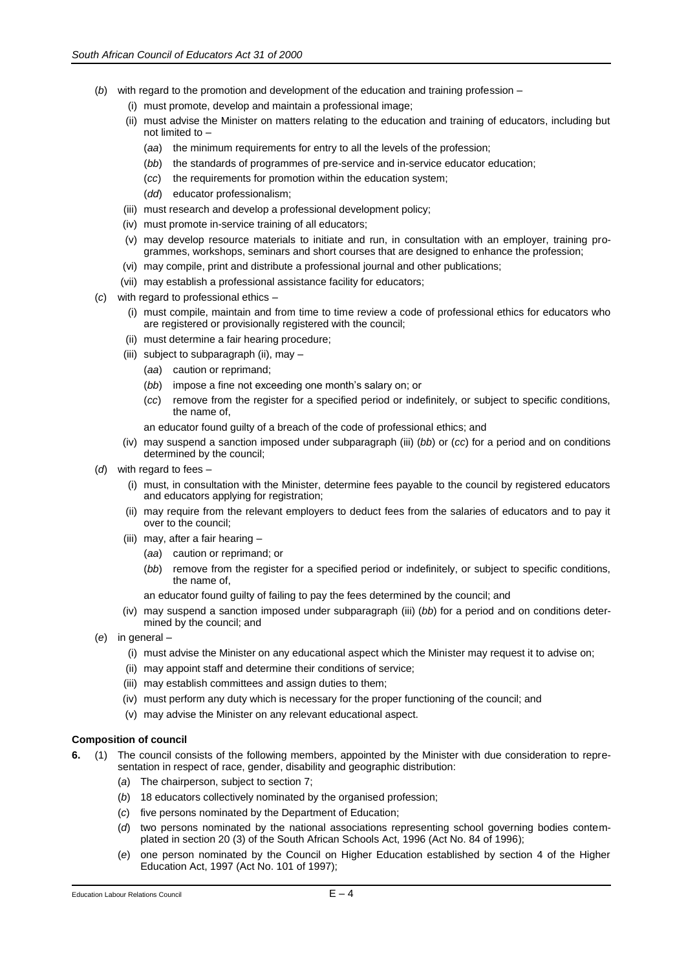- (*b*) with regard to the promotion and development of the education and training profession
	- (i) must promote, develop and maintain a professional image;
	- (ii) must advise the Minister on matters relating to the education and training of educators, including but not limited to –
		- (*aa*) the minimum requirements for entry to all the levels of the profession;
		- (*bb*) the standards of programmes of pre-service and in-service educator education;
		- (*cc*) the requirements for promotion within the education system;
		- (*dd*) educator professionalism;
	- (iii) must research and develop a professional development policy;
	- (iv) must promote in-service training of all educators;
	- (v) may develop resource materials to initiate and run, in consultation with an employer, training programmes, workshops, seminars and short courses that are designed to enhance the profession;
	- (vi) may compile, print and distribute a professional journal and other publications;
	- (vii) may establish a professional assistance facility for educators;
- (*c*) with regard to professional ethics
	- (i) must compile, maintain and from time to time review a code of professional ethics for educators who are registered or provisionally registered with the council;
	- (ii) must determine a fair hearing procedure;
	- (iii) subject to subparagraph (ii), may
		- (*aa*) caution or reprimand;
		- (*bb*) impose a fine not exceeding one month's salary on; or
		- (*cc*) remove from the register for a specified period or indefinitely, or subject to specific conditions, the name of,
		- an educator found guilty of a breach of the code of professional ethics; and
	- (iv) may suspend a sanction imposed under subparagraph (iii) (*bb*) or (*cc*) for a period and on conditions determined by the council;
- (*d*) with regard to fees
	- (i) must, in consultation with the Minister, determine fees payable to the council by registered educators and educators applying for registration;
	- (ii) may require from the relevant employers to deduct fees from the salaries of educators and to pay it over to the council;
	- (iii) may, after a fair hearing
		- (*aa*) caution or reprimand; or
		- (*bb*) remove from the register for a specified period or indefinitely, or subject to specific conditions, the name of,
		- an educator found guilty of failing to pay the fees determined by the council; and
	- (iv) may suspend a sanction imposed under subparagraph (iii) (*bb*) for a period and on conditions determined by the council; and
- (*e*) in general
	- (i) must advise the Minister on any educational aspect which the Minister may request it to advise on;
	- (ii) may appoint staff and determine their conditions of service;
	- (iii) may establish committees and assign duties to them;
	- (iv) must perform any duty which is necessary for the proper functioning of the council; and
	- (v) may advise the Minister on any relevant educational aspect.

# **Composition of council**

**6.** (1) The council consists of the following members, appointed by the Minister with due consideration to representation in respect of race, gender, disability and geographic distribution:

- (*a*) The chairperson, subject to section 7;
- (*b*) 18 educators collectively nominated by the organised profession;
- (*c*) five persons nominated by the Department of Education;
- (*d*) two persons nominated by the national associations representing school governing bodies contemplated in section 20 (3) of the South African Schools Act, 1996 (Act No. 84 of 1996);
- (*e*) one person nominated by the Council on Higher Education established by section 4 of the Higher Education Act, 1997 (Act No. 101 of 1997);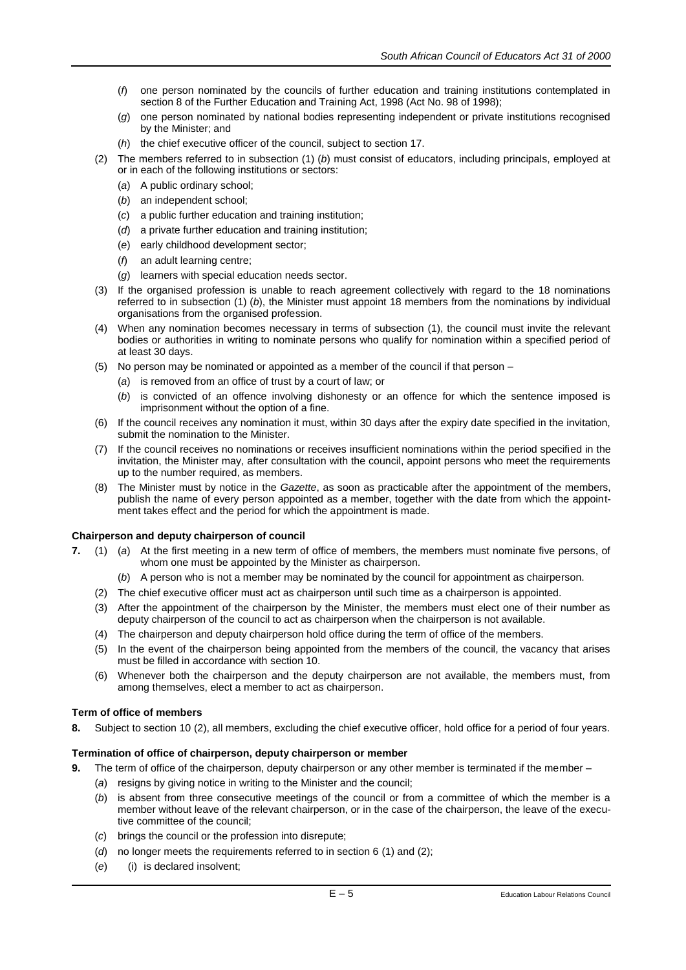- (*f*) one person nominated by the councils of further education and training institutions contemplated in section 8 of the Further Education and Training Act, 1998 (Act No. 98 of 1998);
- (*g*) one person nominated by national bodies representing independent or private institutions recognised by the Minister; and
- (*h*) the chief executive officer of the council, subject to section 17.
- (2) The members referred to in subsection (1) (*b*) must consist of educators, including principals, employed at or in each of the following institutions or sectors:
	- (*a*) A public ordinary school;
	- (*b*) an independent school;
	- (*c*) a public further education and training institution;
	- (*d*) a private further education and training institution;
	- (*e*) early childhood development sector;
	- (*f*) an adult learning centre;
	- (*g*) learners with special education needs sector.
- (3) If the organised profession is unable to reach agreement collectively with regard to the 18 nominations referred to in subsection (1) (*b*), the Minister must appoint 18 members from the nominations by individual organisations from the organised profession.
- (4) When any nomination becomes necessary in terms of subsection (1), the council must invite the relevant bodies or authorities in writing to nominate persons who qualify for nomination within a specified period of at least 30 days.
- (5) No person may be nominated or appointed as a member of the council if that person
	- (*a*) is removed from an office of trust by a court of law; or
	- (*b*) is convicted of an offence involving dishonesty or an offence for which the sentence imposed is imprisonment without the option of a fine.
- (6) If the council receives any nomination it must, within 30 days after the expiry date specified in the invitation, submit the nomination to the Minister.
- (7) If the council receives no nominations or receives insufficient nominations within the period specified in the invitation, the Minister may, after consultation with the council, appoint persons who meet the requirements up to the number required, as members.
- (8) The Minister must by notice in the *Gazette*, as soon as practicable after the appointment of the members, publish the name of every person appointed as a member, together with the date from which the appointment takes effect and the period for which the appointment is made.

#### **Chairperson and deputy chairperson of council**

- **7.** (1) (*a*) At the first meeting in a new term of office of members, the members must nominate five persons, of whom one must be appointed by the Minister as chairperson.
	- (*b*) A person who is not a member may be nominated by the council for appointment as chairperson.
	- (2) The chief executive officer must act as chairperson until such time as a chairperson is appointed.
	- (3) After the appointment of the chairperson by the Minister, the members must elect one of their number as deputy chairperson of the council to act as chairperson when the chairperson is not available.
	- (4) The chairperson and deputy chairperson hold office during the term of office of the members.
	- (5) In the event of the chairperson being appointed from the members of the council, the vacancy that arises must be filled in accordance with section 10.
	- (6) Whenever both the chairperson and the deputy chairperson are not available, the members must, from among themselves, elect a member to act as chairperson.

#### **Term of office of members**

**8.** Subject to section 10 (2), all members, excluding the chief executive officer, hold office for a period of four years.

#### **Termination of office of chairperson, deputy chairperson or member**

- **9.** The term of office of the chairperson, deputy chairperson or any other member is terminated if the member
	- (*a*) resigns by giving notice in writing to the Minister and the council;
	- (*b*) is absent from three consecutive meetings of the council or from a committee of which the member is a member without leave of the relevant chairperson, or in the case of the chairperson, the leave of the executive committee of the council;
	- (*c*) brings the council or the profession into disrepute;
	- (*d*) no longer meets the requirements referred to in section 6 (1) and (2);
	- (*e*) (i) is declared insolvent;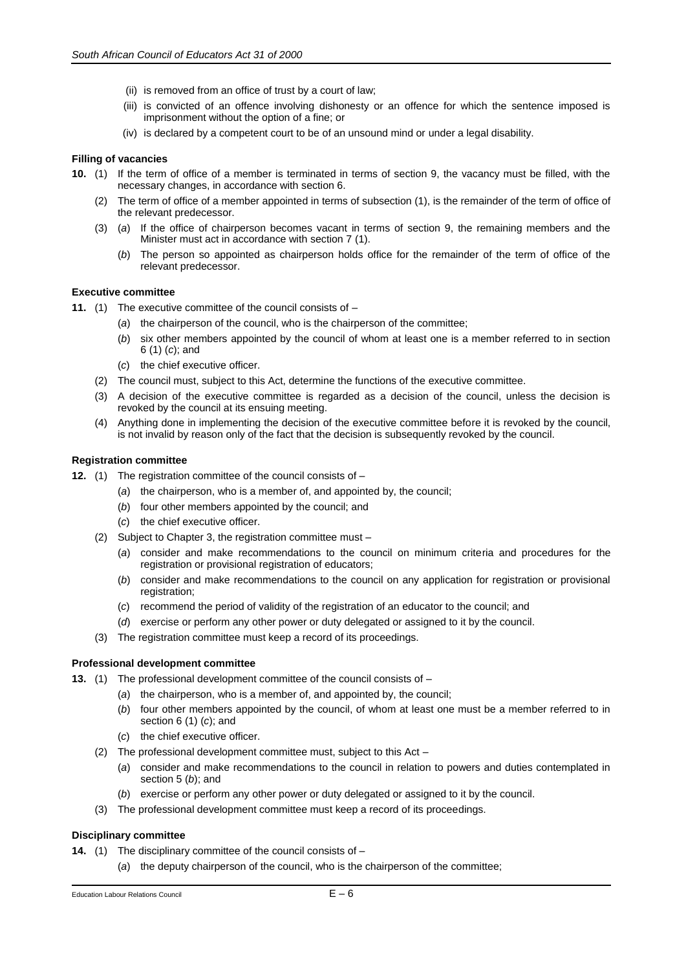- (ii) is removed from an office of trust by a court of law;
- (iii) is convicted of an offence involving dishonesty or an offence for which the sentence imposed is imprisonment without the option of a fine; or
- (iv) is declared by a competent court to be of an unsound mind or under a legal disability.

#### **Filling of vacancies**

- **10.** (1) If the term of office of a member is terminated in terms of section 9, the vacancy must be filled, with the necessary changes, in accordance with section 6.
	- (2) The term of office of a member appointed in terms of subsection (1), is the remainder of the term of office of the relevant predecessor.
	- (3) (*a*) If the office of chairperson becomes vacant in terms of section 9, the remaining members and the Minister must act in accordance with section 7 (1).
		- (*b*) The person so appointed as chairperson holds office for the remainder of the term of office of the relevant predecessor.

#### **Executive committee**

- **11.** (1) The executive committee of the council consists of
	- (*a*) the chairperson of the council, who is the chairperson of the committee;
	- (*b*) six other members appointed by the council of whom at least one is a member referred to in section 6 (1) (*c*); and
	- (*c*) the chief executive officer.
	- (2) The council must, subject to this Act, determine the functions of the executive committee.
	- (3) A decision of the executive committee is regarded as a decision of the council, unless the decision is revoked by the council at its ensuing meeting.
	- (4) Anything done in implementing the decision of the executive committee before it is revoked by the council, is not invalid by reason only of the fact that the decision is subsequently revoked by the council.

#### **Registration committee**

- **12.** (1) The registration committee of the council consists of
	- (*a*) the chairperson, who is a member of, and appointed by, the council;
	- (*b*) four other members appointed by the council; and
	- (*c*) the chief executive officer.
	- (2) Subject to Chapter 3, the registration committee must
		- (*a*) consider and make recommendations to the council on minimum criteria and procedures for the registration or provisional registration of educators;
		- (*b*) consider and make recommendations to the council on any application for registration or provisional registration;
		- (*c*) recommend the period of validity of the registration of an educator to the council; and
		- (*d*) exercise or perform any other power or duty delegated or assigned to it by the council.
	- (3) The registration committee must keep a record of its proceedings.

# **Professional development committee**

- **13.** (1) The professional development committee of the council consists of
	- (*a*) the chairperson, who is a member of, and appointed by, the council;
	- (*b*) four other members appointed by the council, of whom at least one must be a member referred to in section 6 (1) (*c*); and
	- (*c*) the chief executive officer.
	- (2) The professional development committee must, subject to this Act
		- (*a*) consider and make recommendations to the council in relation to powers and duties contemplated in section 5 (*b*); and
		- exercise or perform any other power or duty delegated or assigned to it by the council.
	- (3) The professional development committee must keep a record of its proceedings.

#### **Disciplinary committee**

- **14.** (1) The disciplinary committee of the council consists of
	- (*a*) the deputy chairperson of the council, who is the chairperson of the committee;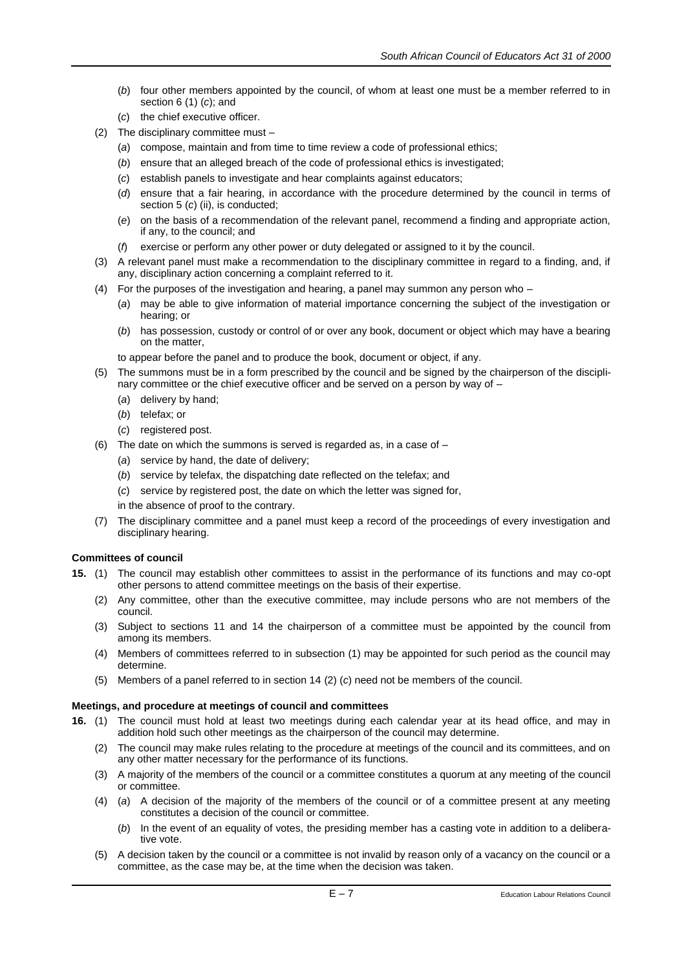- (*b*) four other members appointed by the council, of whom at least one must be a member referred to in section 6 (1) (*c*); and
- (*c*) the chief executive officer.
- (2) The disciplinary committee must
	- (*a*) compose, maintain and from time to time review a code of professional ethics;
	- (*b*) ensure that an alleged breach of the code of professional ethics is investigated;
	- (*c*) establish panels to investigate and hear complaints against educators;
	- (*d*) ensure that a fair hearing, in accordance with the procedure determined by the council in terms of section 5 (c) (ii), is conducted;
	- (*e*) on the basis of a recommendation of the relevant panel, recommend a finding and appropriate action, if any, to the council; and
	- (*f*) exercise or perform any other power or duty delegated or assigned to it by the council.
- (3) A relevant panel must make a recommendation to the disciplinary committee in regard to a finding, and, if any, disciplinary action concerning a complaint referred to it.
- (4) For the purposes of the investigation and hearing, a panel may summon any person who
	- (*a*) may be able to give information of material importance concerning the subject of the investigation or hearing; or
	- (*b*) has possession, custody or control of or over any book, document or object which may have a bearing on the matter,

to appear before the panel and to produce the book, document or object, if any.

- (5) The summons must be in a form prescribed by the council and be signed by the chairperson of the disciplinary committee or the chief executive officer and be served on a person by way of –
	- (*a*) delivery by hand;
	- (*b*) telefax; or
	- (*c*) registered post.
- (6) The date on which the summons is served is regarded as, in a case of  $-$ 
	- (*a*) service by hand, the date of delivery;
	- (*b*) service by telefax, the dispatching date reflected on the telefax; and
	- (*c*) service by registered post, the date on which the letter was signed for,
	- in the absence of proof to the contrary.
- (7) The disciplinary committee and a panel must keep a record of the proceedings of every investigation and disciplinary hearing.

# **Committees of council**

- **15.** (1) The council may establish other committees to assist in the performance of its functions and may co-opt other persons to attend committee meetings on the basis of their expertise.
	- (2) Any committee, other than the executive committee, may include persons who are not members of the council.
	- (3) Subject to sections 11 and 14 the chairperson of a committee must be appointed by the council from among its members.
	- (4) Members of committees referred to in subsection (1) may be appointed for such period as the council may determine.
	- (5) Members of a panel referred to in section 14 (2) (*c*) need not be members of the council.

# **Meetings, and procedure at meetings of council and committees**

- **16.** (1) The council must hold at least two meetings during each calendar year at its head office, and may in addition hold such other meetings as the chairperson of the council may determine.
	- (2) The council may make rules relating to the procedure at meetings of the council and its committees, and on any other matter necessary for the performance of its functions.
	- (3) A majority of the members of the council or a committee constitutes a quorum at any meeting of the council or committee.
	- (4) (*a*) A decision of the majority of the members of the council or of a committee present at any meeting constitutes a decision of the council or committee.
		- (*b*) In the event of an equality of votes, the presiding member has a casting vote in addition to a deliberative vote.
	- (5) A decision taken by the council or a committee is not invalid by reason only of a vacancy on the council or a committee, as the case may be, at the time when the decision was taken.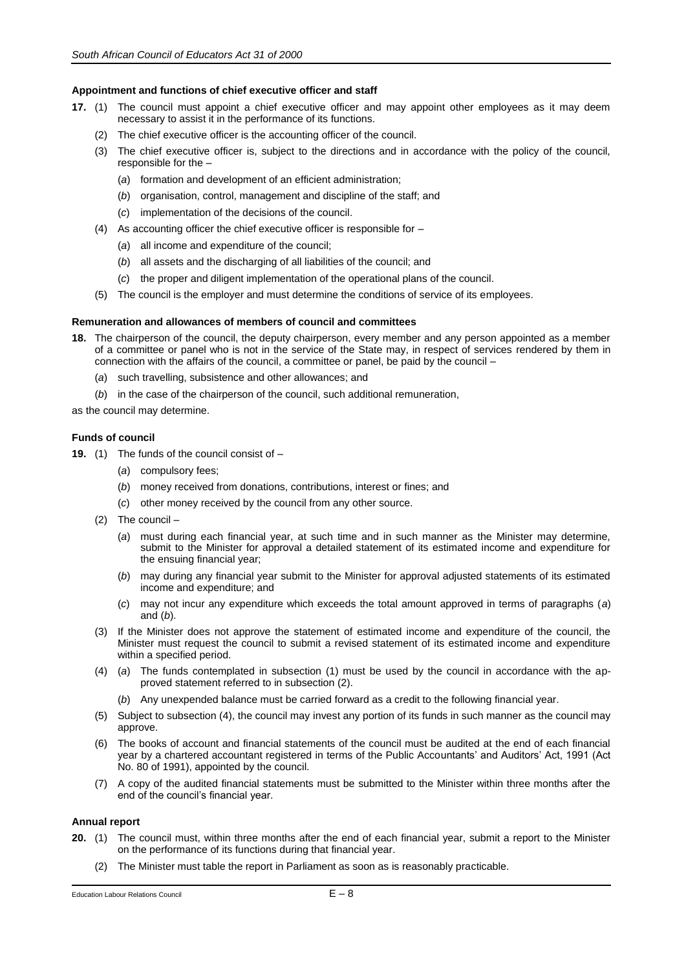#### **Appointment and functions of chief executive officer and staff**

- **17.** (1) The council must appoint a chief executive officer and may appoint other employees as it may deem necessary to assist it in the performance of its functions.
	- (2) The chief executive officer is the accounting officer of the council.
	- (3) The chief executive officer is, subject to the directions and in accordance with the policy of the council, responsible for the –
		- (*a*) formation and development of an efficient administration;
		- (*b*) organisation, control, management and discipline of the staff; and
		- (*c*) implementation of the decisions of the council.
	- (4) As accounting officer the chief executive officer is responsible for
		- (*a*) all income and expenditure of the council;
		- (*b*) all assets and the discharging of all liabilities of the council; and
		- (*c*) the proper and diligent implementation of the operational plans of the council.
	- (5) The council is the employer and must determine the conditions of service of its employees.

#### **Remuneration and allowances of members of council and committees**

- **18.** The chairperson of the council, the deputy chairperson, every member and any person appointed as a member of a committee or panel who is not in the service of the State may, in respect of services rendered by them in connection with the affairs of the council, a committee or panel, be paid by the council –
	- (*a*) such travelling, subsistence and other allowances; and
	- (*b*) in the case of the chairperson of the council, such additional remuneration,

as the council may determine.

#### **Funds of council**

- **19.** (1) The funds of the council consist of
	- (*a*) compulsory fees;
	- (*b*) money received from donations, contributions, interest or fines; and
	- (*c*) other money received by the council from any other source.
	- (2) The council
		- (*a*) must during each financial year, at such time and in such manner as the Minister may determine, submit to the Minister for approval a detailed statement of its estimated income and expenditure for the ensuing financial year;
		- (*b*) may during any financial year submit to the Minister for approval adjusted statements of its estimated income and expenditure; and
		- (*c*) may not incur any expenditure which exceeds the total amount approved in terms of paragraphs (*a*) and (*b*).
	- (3) If the Minister does not approve the statement of estimated income and expenditure of the council, the Minister must request the council to submit a revised statement of its estimated income and expenditure within a specified period.
	- (4) (*a*) The funds contemplated in subsection (1) must be used by the council in accordance with the approved statement referred to in subsection (2).
		- (*b*) Any unexpended balance must be carried forward as a credit to the following financial year.
	- (5) Subject to subsection (4), the council may invest any portion of its funds in such manner as the council may approve.
	- (6) The books of account and financial statements of the council must be audited at the end of each financial year by a chartered accountant registered in terms of the Public Accountants' and Auditors' Act, 1991 (Act No. 80 of 1991), appointed by the council.
	- (7) A copy of the audited financial statements must be submitted to the Minister within three months after the end of the council's financial year.

#### **Annual report**

- **20.** (1) The council must, within three months after the end of each financial year, submit a report to the Minister on the performance of its functions during that financial year.
	- (2) The Minister must table the report in Parliament as soon as is reasonably practicable.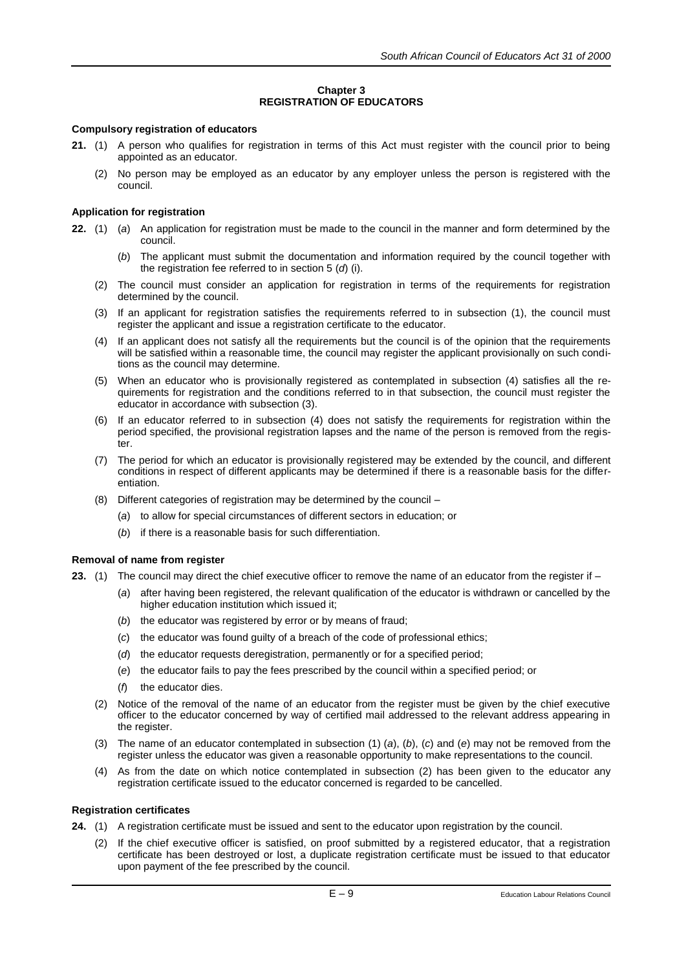# **Chapter 3 REGISTRATION OF EDUCATORS**

# **Compulsory registration of educators**

- **21.** (1) A person who qualifies for registration in terms of this Act must register with the council prior to being appointed as an educator.
	- (2) No person may be employed as an educator by any employer unless the person is registered with the council.

#### **Application for registration**

- **22.** (1) (*a*) An application for registration must be made to the council in the manner and form determined by the council.
	- (*b*) The applicant must submit the documentation and information required by the council together with the registration fee referred to in section 5 (*d*) (i).
	- (2) The council must consider an application for registration in terms of the requirements for registration determined by the council.
	- (3) If an applicant for registration satisfies the requirements referred to in subsection (1), the council must register the applicant and issue a registration certificate to the educator.
	- (4) If an applicant does not satisfy all the requirements but the council is of the opinion that the requirements will be satisfied within a reasonable time, the council may register the applicant provisionally on such conditions as the council may determine.
	- (5) When an educator who is provisionally registered as contemplated in subsection (4) satisfies all the requirements for registration and the conditions referred to in that subsection, the council must register the educator in accordance with subsection (3).
	- (6) If an educator referred to in subsection (4) does not satisfy the requirements for registration within the period specified, the provisional registration lapses and the name of the person is removed from the register.
	- (7) The period for which an educator is provisionally registered may be extended by the council, and different conditions in respect of different applicants may be determined if there is a reasonable basis for the differentiation.
	- (8) Different categories of registration may be determined by the council
		- (*a*) to allow for special circumstances of different sectors in education; or
		- (*b*) if there is a reasonable basis for such differentiation.

#### **Removal of name from register**

- **23.** (1) The council may direct the chief executive officer to remove the name of an educator from the register if
	- (*a*) after having been registered, the relevant qualification of the educator is withdrawn or cancelled by the higher education institution which issued it;
	- (*b*) the educator was registered by error or by means of fraud;
	- (*c*) the educator was found guilty of a breach of the code of professional ethics;
	- (*d*) the educator requests deregistration, permanently or for a specified period;
	- (*e*) the educator fails to pay the fees prescribed by the council within a specified period; or
	- (*f*) the educator dies.
	- (2) Notice of the removal of the name of an educator from the register must be given by the chief executive officer to the educator concerned by way of certified mail addressed to the relevant address appearing in the register.
	- (3) The name of an educator contemplated in subsection (1) (*a*), (*b*), (*c*) and (*e*) may not be removed from the register unless the educator was given a reasonable opportunity to make representations to the council.
	- (4) As from the date on which notice contemplated in subsection (2) has been given to the educator any registration certificate issued to the educator concerned is regarded to be cancelled.

#### **Registration certificates**

- **24.** (1) A registration certificate must be issued and sent to the educator upon registration by the council.
	- (2) If the chief executive officer is satisfied, on proof submitted by a registered educator, that a registration certificate has been destroyed or lost, a duplicate registration certificate must be issued to that educator upon payment of the fee prescribed by the council.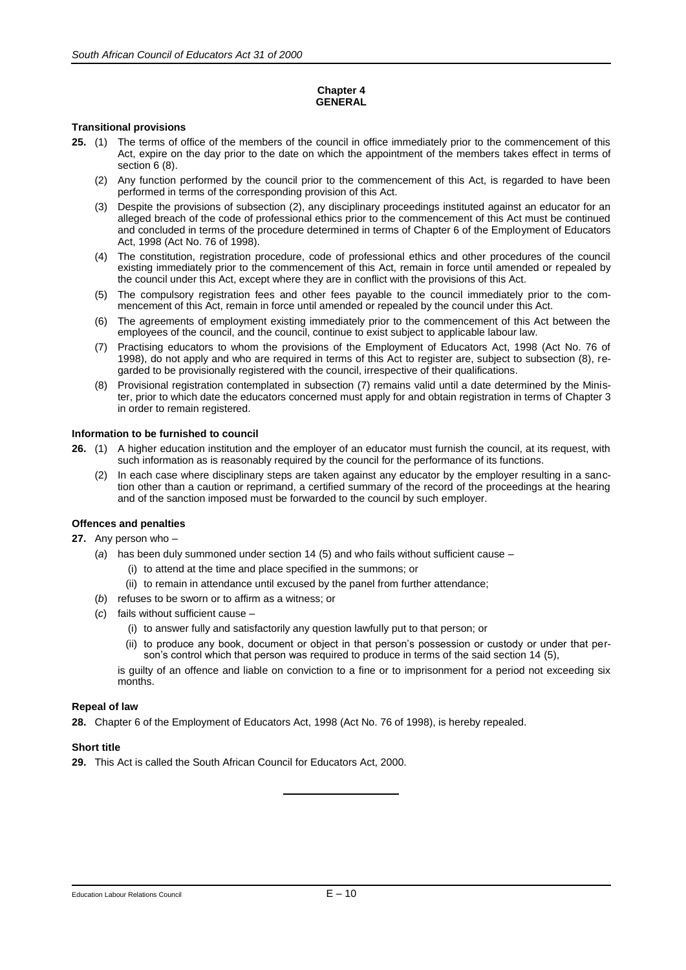#### **Chapter 4 GENERAL**

#### **Transitional provisions**

- **25.** (1) The terms of office of the members of the council in office immediately prior to the commencement of this Act, expire on the day prior to the date on which the appointment of the members takes effect in terms of section 6 (8).
	- (2) Any function performed by the council prior to the commencement of this Act, is regarded to have been performed in terms of the corresponding provision of this Act.
	- (3) Despite the provisions of subsection (2), any disciplinary proceedings instituted against an educator for an alleged breach of the code of professional ethics prior to the commencement of this Act must be continued and concluded in terms of the procedure determined in terms of Chapter 6 of the Employment of Educators Act, 1998 (Act No. 76 of 1998).
	- (4) The constitution, registration procedure, code of professional ethics and other procedures of the council existing immediately prior to the commencement of this Act, remain in force until amended or repealed by the council under this Act, except where they are in conflict with the provisions of this Act.
	- (5) The compulsory registration fees and other fees payable to the council immediately prior to the commencement of this Act, remain in force until amended or repealed by the council under this Act.
	- (6) The agreements of employment existing immediately prior to the commencement of this Act between the employees of the council, and the council, continue to exist subject to applicable labour law.
	- (7) Practising educators to whom the provisions of the Employment of Educators Act, 1998 (Act No. 76 of 1998), do not apply and who are required in terms of this Act to register are, subject to subsection (8), regarded to be provisionally registered with the council, irrespective of their qualifications.
	- (8) Provisional registration contemplated in subsection (7) remains valid until a date determined by the Minister, prior to which date the educators concerned must apply for and obtain registration in terms of Chapter 3 in order to remain registered.

#### **Information to be furnished to council**

- **26.** (1) A higher education institution and the employer of an educator must furnish the council, at its request, with such information as is reasonably required by the council for the performance of its functions.
	- (2) In each case where disciplinary steps are taken against any educator by the employer resulting in a sanction other than a caution or reprimand, a certified summary of the record of the proceedings at the hearing and of the sanction imposed must be forwarded to the council by such employer.

# **Offences and penalties**

**27.** Any person who –

- (*a*) has been duly summoned under section 14 (5) and who fails without sufficient cause
	- (i) to attend at the time and place specified in the summons; or
	- (ii) to remain in attendance until excused by the panel from further attendance;
- (*b*) refuses to be sworn or to affirm as a witness; or
- (*c*) fails without sufficient cause
	- (i) to answer fully and satisfactorily any question lawfully put to that person; or
	- (ii) to produce any book, document or object in that person's possession or custody or under that person's control which that person was required to produce in terms of the said section 14 (5),

is guilty of an offence and liable on conviction to a fine or to imprisonment for a period not exceeding six months.

#### **Repeal of law**

**28.** Chapter 6 of the Employment of Educators Act, 1998 (Act No. 76 of 1998), is hereby repealed.

#### **Short title**

**29.** This Act is called the South African Council for Educators Act, 2000.

#### Education Labour Relations Council **E** – 10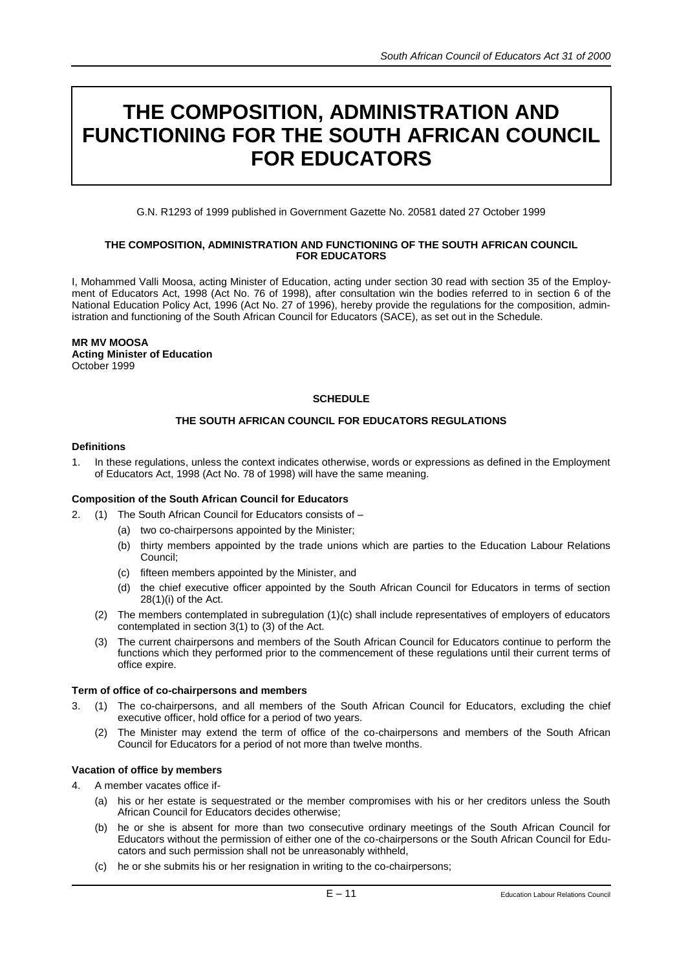# **THE COMPOSITION, ADMINISTRATION AND FUNCTIONING FOR THE SOUTH AFRICAN COUNCIL FOR EDUCATORS**

G.N. R1293 of 1999 published in Government Gazette No. 20581 dated 27 October 1999

#### **THE COMPOSITION, ADMINISTRATION AND FUNCTIONING OF THE SOUTH AFRICAN COUNCIL FOR EDUCATORS**

I, Mohammed Valli Moosa, acting Minister of Education, acting under section 30 read with section 35 of the Employment of Educators Act, 1998 (Act No. 76 of 1998), after consultation win the bodies referred to in section 6 of the National Education Policy Act, 1996 (Act No. 27 of 1996), hereby provide the regulations for the composition, administration and functioning of the South African Council for Educators (SACE), as set out in the Schedule.

# **MR MV MOOSA**

**Acting Minister of Education**  October 1999

# **SCHEDULE**

# **THE SOUTH AFRICAN COUNCIL FOR EDUCATORS REGULATIONS**

# **Definitions**

1. In these regulations, unless the context indicates otherwise, words or expressions as defined in the Employment of Educators Act, 1998 (Act No. 78 of 1998) will have the same meaning.

# **Composition of the South African Council for Educators**

- 2. (1) The South African Council for Educators consists of
	- (a) two co-chairpersons appointed by the Minister;
	- (b) thirty members appointed by the trade unions which are parties to the Education Labour Relations Council;
	- (c) fifteen members appointed by the Minister, and
	- (d) the chief executive officer appointed by the South African Council for Educators in terms of section  $28(1)(i)$  of the Act.
	- (2) The members contemplated in subregulation (1)(c) shall include representatives of employers of educators contemplated in section 3(1) to (3) of the Act.
	- (3) The current chairpersons and members of the South African Council for Educators continue to perform the functions which they performed prior to the commencement of these regulations until their current terms of office expire.

# **Term of office of co-chairpersons and members**

- 3. (1) The co-chairpersons, and all members of the South African Council for Educators, excluding the chief executive officer, hold office for a period of two years.
	- The Minister may extend the term of office of the co-chairpersons and members of the South African Council for Educators for a period of not more than twelve months.

# **Vacation of office by members**

# 4. A member vacates office if-

- (a) his or her estate is sequestrated or the member compromises with his or her creditors unless the South African Council for Educators decides otherwise;
- (b) he or she is absent for more than two consecutive ordinary meetings of the South African Council for Educators without the permission of either one of the co-chairpersons or the South African Council for Educators and such permission shall not be unreasonably withheld,
- (c) he or she submits his or her resignation in writing to the co-chairpersons;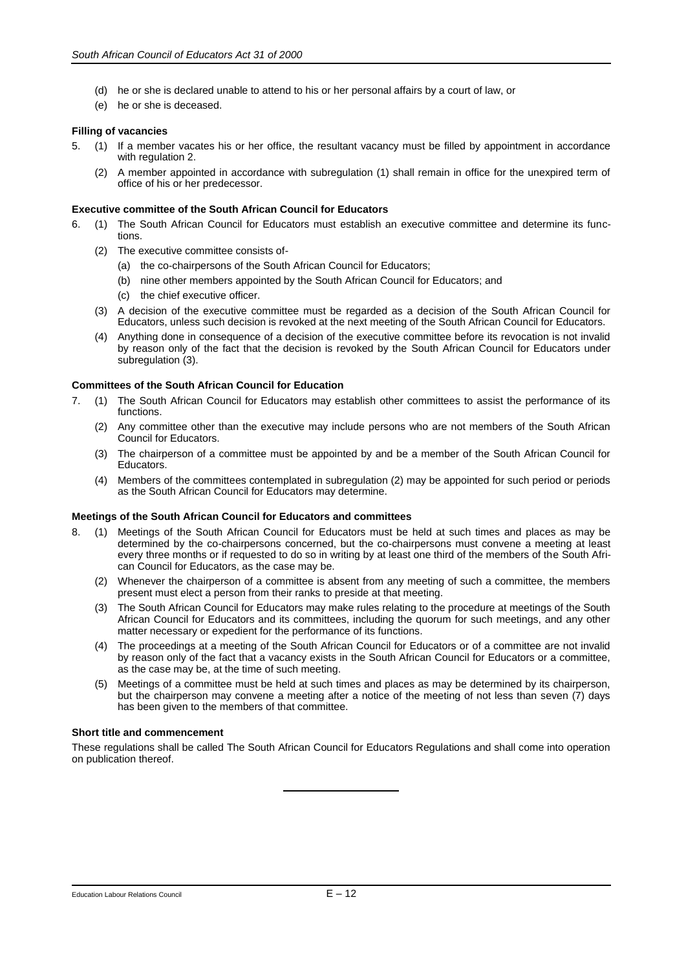- (d) he or she is declared unable to attend to his or her personal affairs by a court of law, or
- (e) he or she is deceased.

#### **Filling of vacancies**

- 5. (1) If a member vacates his or her office, the resultant vacancy must be filled by appointment in accordance with regulation 2.
	- (2) A member appointed in accordance with subregulation (1) shall remain in office for the unexpired term of office of his or her predecessor.

#### **Executive committee of the South African Council for Educators**

- 6. (1) The South African Council for Educators must establish an executive committee and determine its functions.
	- (2) The executive committee consists of-
		- (a) the co-chairpersons of the South African Council for Educators;
		- (b) nine other members appointed by the South African Council for Educators; and
		- (c) the chief executive officer.
	- (3) A decision of the executive committee must be regarded as a decision of the South African Council for Educators, unless such decision is revoked at the next meeting of the South African Council for Educators.
	- (4) Anything done in consequence of a decision of the executive committee before its revocation is not invalid by reason only of the fact that the decision is revoked by the South African Council for Educators under subregulation (3).

#### **Committees of the South African Council for Education**

- 7. (1) The South African Council for Educators may establish other committees to assist the performance of its functions.
	- (2) Any committee other than the executive may include persons who are not members of the South African Council for Educators.
	- (3) The chairperson of a committee must be appointed by and be a member of the South African Council for Educators.
	- (4) Members of the committees contemplated in subregulation (2) may be appointed for such period or periods as the South African Council for Educators may determine.

#### **Meetings of the South African Council for Educators and committees**

- 8. (1) Meetings of the South African Council for Educators must be held at such times and places as may be determined by the co-chairpersons concerned, but the co-chairpersons must convene a meeting at least every three months or if requested to do so in writing by at least one third of the members of the South African Council for Educators, as the case may be.
	- (2) Whenever the chairperson of a committee is absent from any meeting of such a committee, the members present must elect a person from their ranks to preside at that meeting.
	- (3) The South African Council for Educators may make rules relating to the procedure at meetings of the South African Council for Educators and its committees, including the quorum for such meetings, and any other matter necessary or expedient for the performance of its functions.
	- (4) The proceedings at a meeting of the South African Council for Educators or of a committee are not invalid by reason only of the fact that a vacancy exists in the South African Council for Educators or a committee, as the case may be, at the time of such meeting.
	- (5) Meetings of a committee must be held at such times and places as may be determined by its chairperson, but the chairperson may convene a meeting after a notice of the meeting of not less than seven (7) days has been given to the members of that committee.

#### **Short title and commencement**

These regulations shall be called The South African Council for Educators Regulations and shall come into operation on publication thereof.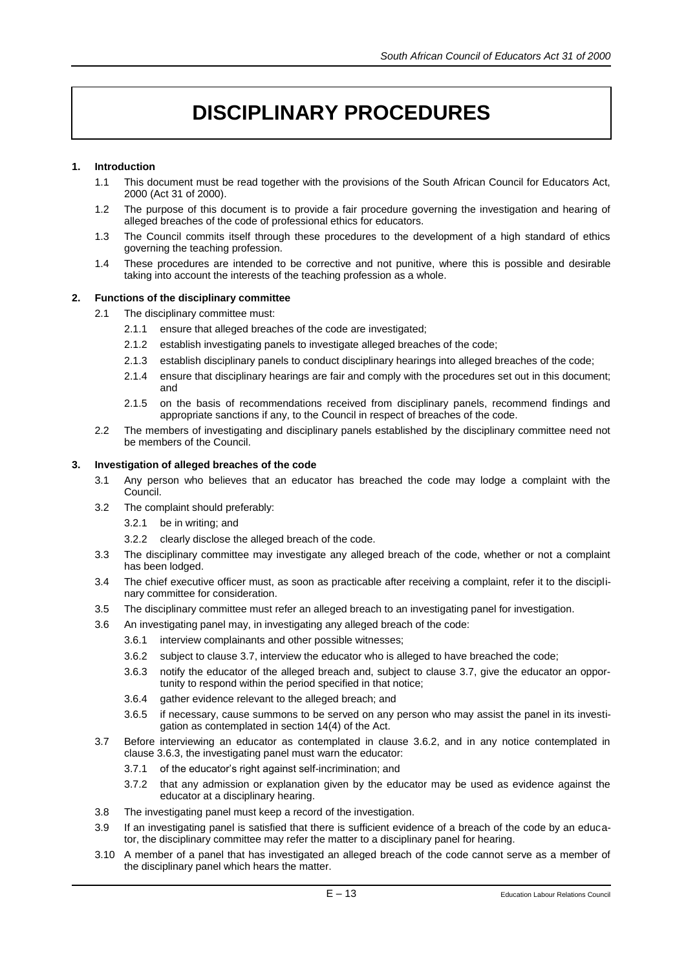# **DISCIPLINARY PROCEDURES**

# **1. Introduction**

- 1.1 This document must be read together with the provisions of the South African Council for Educators Act, 2000 (Act 31 of 2000).
- 1.2 The purpose of this document is to provide a fair procedure governing the investigation and hearing of alleged breaches of the code of professional ethics for educators.
- 1.3 The Council commits itself through these procedures to the development of a high standard of ethics governing the teaching profession.
- 1.4 These procedures are intended to be corrective and not punitive, where this is possible and desirable taking into account the interests of the teaching profession as a whole.

# **2. Functions of the disciplinary committee**

- 2.1 The disciplinary committee must:
	- 2.1.1 ensure that alleged breaches of the code are investigated;
	- 2.1.2 establish investigating panels to investigate alleged breaches of the code;
	- 2.1.3 establish disciplinary panels to conduct disciplinary hearings into alleged breaches of the code;
	- 2.1.4 ensure that disciplinary hearings are fair and comply with the procedures set out in this document; and
	- 2.1.5 on the basis of recommendations received from disciplinary panels, recommend findings and appropriate sanctions if any, to the Council in respect of breaches of the code.
- 2.2 The members of investigating and disciplinary panels established by the disciplinary committee need not be members of the Council.

#### **3. Investigation of alleged breaches of the code**

- 3.1 Any person who believes that an educator has breached the code may lodge a complaint with the Council.
- 3.2 The complaint should preferably:
	- 3.2.1 be in writing; and
	- 3.2.2 clearly disclose the alleged breach of the code.
- 3.3 The disciplinary committee may investigate any alleged breach of the code, whether or not a complaint has been lodged.
- 3.4 The chief executive officer must, as soon as practicable after receiving a complaint, refer it to the disciplinary committee for consideration.
- 3.5 The disciplinary committee must refer an alleged breach to an investigating panel for investigation.
- 3.6 An investigating panel may, in investigating any alleged breach of the code:
	- 3.6.1 interview complainants and other possible witnesses;
	- 3.6.2 subject to clause 3.7, interview the educator who is alleged to have breached the code;
	- 3.6.3 notify the educator of the alleged breach and, subject to clause 3.7, give the educator an opportunity to respond within the period specified in that notice;
	- 3.6.4 gather evidence relevant to the alleged breach; and
	- 3.6.5 if necessary, cause summons to be served on any person who may assist the panel in its investigation as contemplated in section 14(4) of the Act.
- 3.7 Before interviewing an educator as contemplated in clause 3.6.2, and in any notice contemplated in clause 3.6.3, the investigating panel must warn the educator:
	- 3.7.1 of the educator's right against self-incrimination; and
	- 3.7.2 that any admission or explanation given by the educator may be used as evidence against the educator at a disciplinary hearing.
- 3.8 The investigating panel must keep a record of the investigation.
- 3.9 If an investigating panel is satisfied that there is sufficient evidence of a breach of the code by an educator, the disciplinary committee may refer the matter to a disciplinary panel for hearing.
- 3.10 A member of a panel that has investigated an alleged breach of the code cannot serve as a member of the disciplinary panel which hears the matter.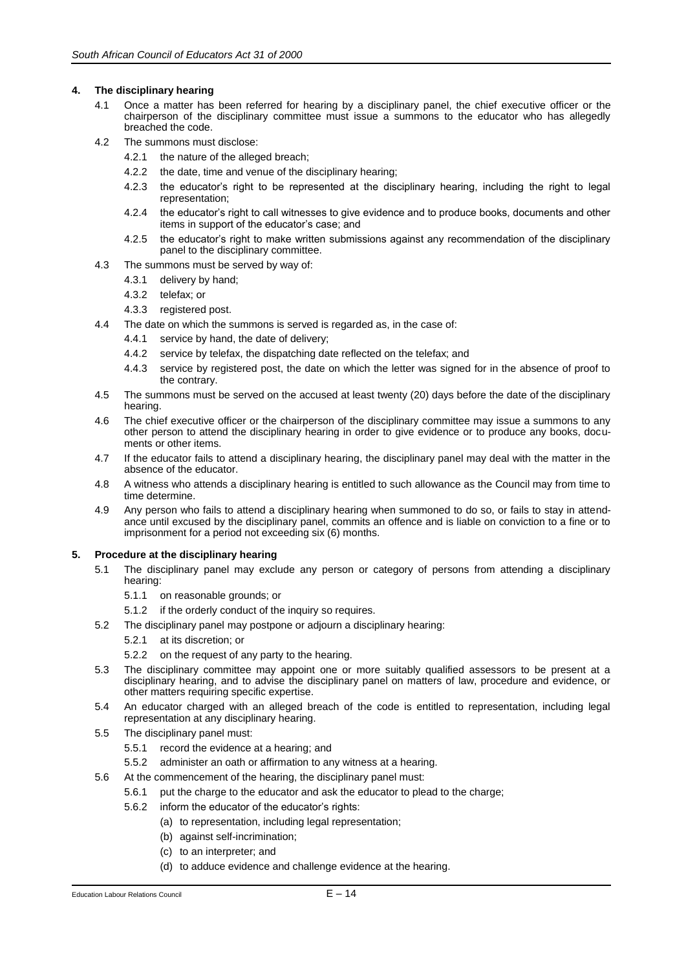#### **4. The disciplinary hearing**

- 4.1 Once a matter has been referred for hearing by a disciplinary panel, the chief executive officer or the chairperson of the disciplinary committee must issue a summons to the educator who has allegedly breached the code.
- 4.2 The summons must disclose:
	- 4.2.1 the nature of the alleged breach;
	- 4.2.2 the date, time and venue of the disciplinary hearing;
	- 4.2.3 the educator's right to be represented at the disciplinary hearing, including the right to legal representation;
	- 4.2.4 the educator's right to call witnesses to give evidence and to produce books, documents and other items in support of the educator's case; and
	- 4.2.5 the educator's right to make written submissions against any recommendation of the disciplinary panel to the disciplinary committee.
- 4.3 The summons must be served by way of:
	- 4.3.1 delivery by hand;
	- 4.3.2 telefax; or
	- 4.3.3 registered post.
- 4.4 The date on which the summons is served is regarded as, in the case of:
	- 4.4.1 service by hand, the date of delivery;
	- 4.4.2 service by telefax, the dispatching date reflected on the telefax; and
	- 4.4.3 service by registered post, the date on which the letter was signed for in the absence of proof to the contrary.
- 4.5 The summons must be served on the accused at least twenty (20) days before the date of the disciplinary hearing.
- 4.6 The chief executive officer or the chairperson of the disciplinary committee may issue a summons to any other person to attend the disciplinary hearing in order to give evidence or to produce any books, documents or other items.
- 4.7 If the educator fails to attend a disciplinary hearing, the disciplinary panel may deal with the matter in the absence of the educator.
- 4.8 A witness who attends a disciplinary hearing is entitled to such allowance as the Council may from time to time determine.
- 4.9 Any person who fails to attend a disciplinary hearing when summoned to do so, or fails to stay in attendance until excused by the disciplinary panel, commits an offence and is liable on conviction to a fine or to imprisonment for a period not exceeding six (6) months.

#### **5. Procedure at the disciplinary hearing**

- 5.1 The disciplinary panel may exclude any person or category of persons from attending a disciplinary hearing:
	- 5.1.1 on reasonable grounds; or
	- 5.1.2 if the orderly conduct of the inquiry so requires.
- 5.2 The disciplinary panel may postpone or adjourn a disciplinary hearing:
	- 5.2.1 at its discretion; or
	- 5.2.2 on the request of any party to the hearing.
- 5.3 The disciplinary committee may appoint one or more suitably qualified assessors to be present at a disciplinary hearing, and to advise the disciplinary panel on matters of law, procedure and evidence, or other matters requiring specific expertise.
- 5.4 An educator charged with an alleged breach of the code is entitled to representation, including legal representation at any disciplinary hearing.
- 5.5 The disciplinary panel must:
	- 5.5.1 record the evidence at a hearing; and
	- 5.5.2 administer an oath or affirmation to any witness at a hearing.
- 5.6 At the commencement of the hearing, the disciplinary panel must:
	- 5.6.1 put the charge to the educator and ask the educator to plead to the charge;
	- 5.6.2 inform the educator of the educator's rights:
		- (a) to representation, including legal representation;
		- (b) against self-incrimination;
		- (c) to an interpreter; and
		- (d) to adduce evidence and challenge evidence at the hearing.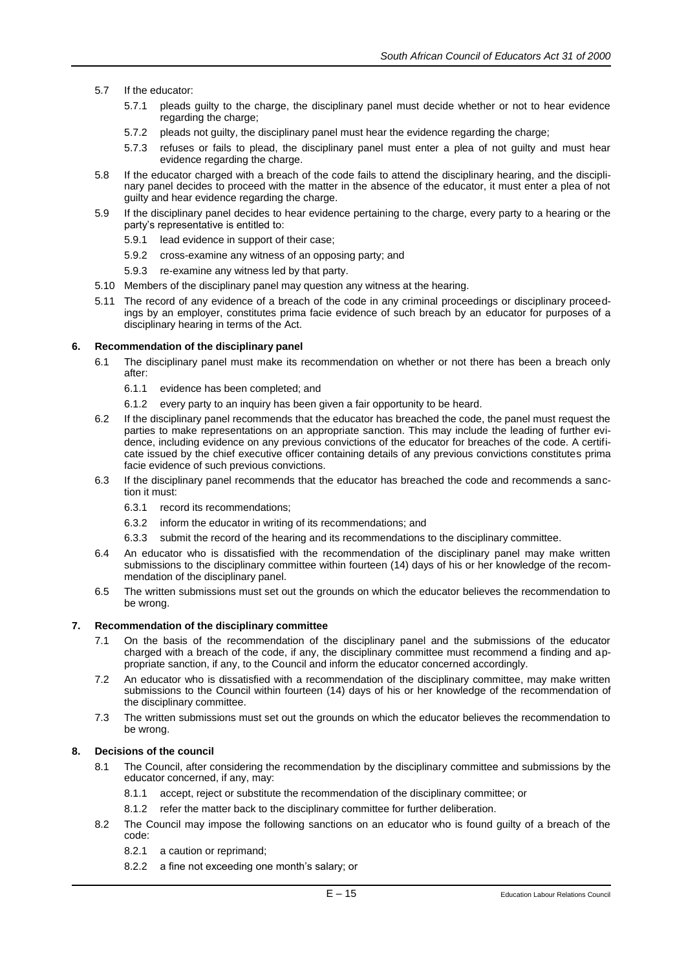- 5.7 If the educator:
	- 5.7.1 pleads guilty to the charge, the disciplinary panel must decide whether or not to hear evidence regarding the charge;
	- 5.7.2 pleads not guilty, the disciplinary panel must hear the evidence regarding the charge;
	- 5.7.3 refuses or fails to plead, the disciplinary panel must enter a plea of not guilty and must hear evidence regarding the charge.
- 5.8 If the educator charged with a breach of the code fails to attend the disciplinary hearing, and the disciplinary panel decides to proceed with the matter in the absence of the educator, it must enter a plea of not guilty and hear evidence regarding the charge.
- 5.9 If the disciplinary panel decides to hear evidence pertaining to the charge, every party to a hearing or the party's representative is entitled to:
	- 5.9.1 lead evidence in support of their case;
	- 5.9.2 cross-examine any witness of an opposing party; and
	- 5.9.3 re-examine any witness led by that party.
- 5.10 Members of the disciplinary panel may question any witness at the hearing.
- 5.11 The record of any evidence of a breach of the code in any criminal proceedings or disciplinary proceedings by an employer, constitutes prima facie evidence of such breach by an educator for purposes of a disciplinary hearing in terms of the Act.

# **6. Recommendation of the disciplinary panel**

- 6.1 The disciplinary panel must make its recommendation on whether or not there has been a breach only after:
	- 6.1.1 evidence has been completed; and
	- 6.1.2 every party to an inquiry has been given a fair opportunity to be heard.
- 6.2 If the disciplinary panel recommends that the educator has breached the code, the panel must request the parties to make representations on an appropriate sanction. This may include the leading of further evidence, including evidence on any previous convictions of the educator for breaches of the code. A certificate issued by the chief executive officer containing details of any previous convictions constitutes prima facie evidence of such previous convictions.
- 6.3 If the disciplinary panel recommends that the educator has breached the code and recommends a sanction it must:
	- 6.3.1 record its recommendations;
	- 6.3.2 inform the educator in writing of its recommendations; and
	- 6.3.3 submit the record of the hearing and its recommendations to the disciplinary committee.
- 6.4 An educator who is dissatisfied with the recommendation of the disciplinary panel may make written submissions to the disciplinary committee within fourteen (14) days of his or her knowledge of the recommendation of the disciplinary panel.
- 6.5 The written submissions must set out the grounds on which the educator believes the recommendation to be wrong.

# **7. Recommendation of the disciplinary committee**

- 7.1 On the basis of the recommendation of the disciplinary panel and the submissions of the educator charged with a breach of the code, if any, the disciplinary committee must recommend a finding and appropriate sanction, if any, to the Council and inform the educator concerned accordingly.
- 7.2 An educator who is dissatisfied with a recommendation of the disciplinary committee, may make written submissions to the Council within fourteen (14) days of his or her knowledge of the recommendation of the disciplinary committee.
- 7.3 The written submissions must set out the grounds on which the educator believes the recommendation to be wrong.

# **8. Decisions of the council**

- 8.1 The Council, after considering the recommendation by the disciplinary committee and submissions by the educator concerned, if any, may:
	- 8.1.1 accept, reject or substitute the recommendation of the disciplinary committee; or
	- 8.1.2 refer the matter back to the disciplinary committee for further deliberation.
- 8.2 The Council may impose the following sanctions on an educator who is found guilty of a breach of the code:
	- 8.2.1 a caution or reprimand;
	- 8.2.2 a fine not exceeding one month's salary; or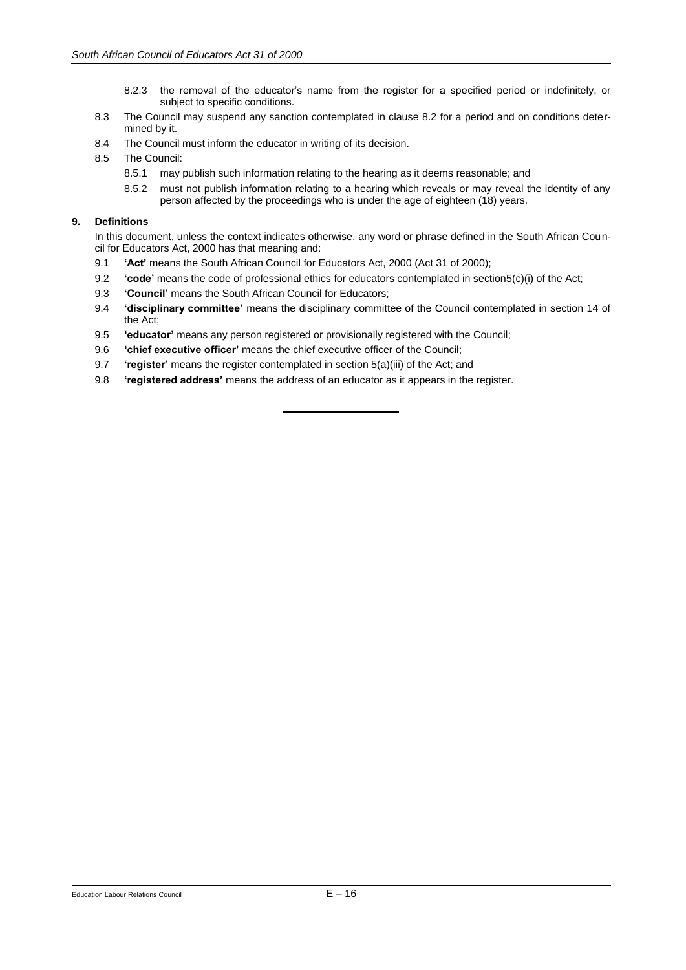- 8.2.3 the removal of the educator's name from the register for a specified period or indefinitely, or subject to specific conditions.
- 8.3 The Council may suspend any sanction contemplated in clause 8.2 for a period and on conditions determined by it.
- 8.4 The Council must inform the educator in writing of its decision.
- 8.5 The Council:
	- 8.5.1 may publish such information relating to the hearing as it deems reasonable; and
	- 8.5.2 must not publish information relating to a hearing which reveals or may reveal the identity of any person affected by the proceedings who is under the age of eighteen (18) years.

# **9. Definitions**

In this document, unless the context indicates otherwise, any word or phrase defined in the South African Council for Educators Act, 2000 has that meaning and:

- 9.1 **'Act'** means the South African Council for Educators Act, 2000 (Act 31 of 2000);
- 9.2 **'code'** means the code of professional ethics for educators contemplated in section5(c)(i) of the Act;
- 9.3 **'Council'** means the South African Council for Educators;
- 9.4 **'disciplinary committee'** means the disciplinary committee of the Council contemplated in section 14 of the Act;
- 9.5 **'educator'** means any person registered or provisionally registered with the Council;
- 9.6 **'chief executive officer'** means the chief executive officer of the Council;
- 9.7 **'register'** means the register contemplated in section 5(a)(iii) of the Act; and
- 9.8 **'registered address'** means the address of an educator as it appears in the register.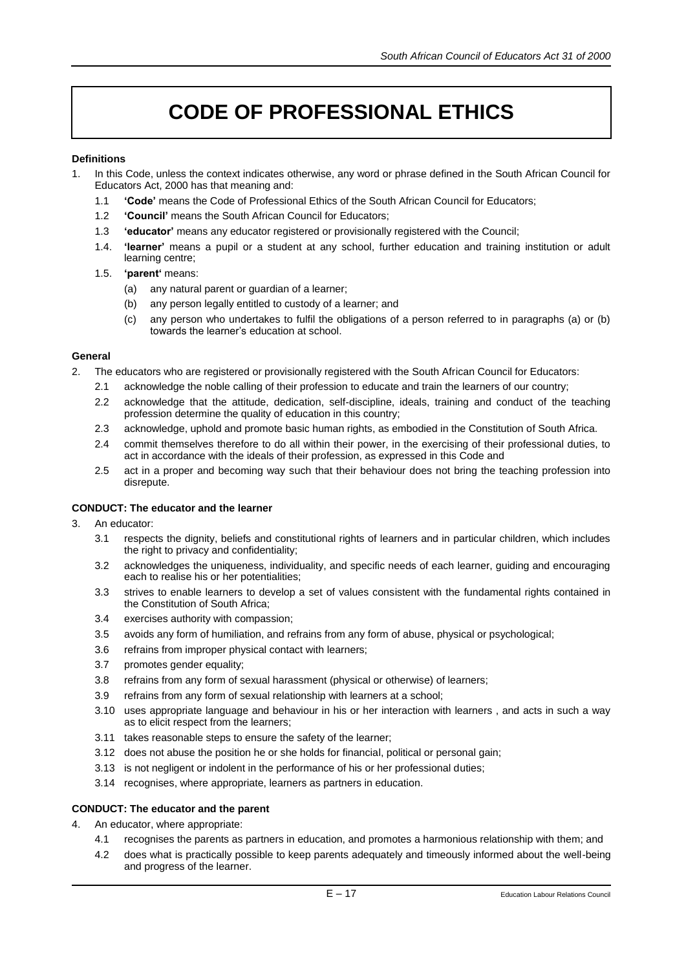# **CODE OF PROFESSIONAL ETHICS**

# **Definitions**

- 1. In this Code, unless the context indicates otherwise, any word or phrase defined in the South African Council for Educators Act, 2000 has that meaning and:
	- 1.1 **'Code'** means the Code of Professional Ethics of the South African Council for Educators;
	- 1.2 **'Council'** means the South African Council for Educators;
	- 1.3 **'educator'** means any educator registered or provisionally registered with the Council;
	- 1.4. **'learner'** means a pupil or a student at any school, further education and training institution or adult learning centre;
	- 1.5. **'parent'** means:
		- (a) any natural parent or guardian of a learner;
		- (b) any person legally entitled to custody of a learner; and
		- (c) any person who undertakes to fulfil the obligations of a person referred to in paragraphs (a) or (b) towards the learner's education at school.

# **General**

- 2. The educators who are registered or provisionally registered with the South African Council for Educators:
	- 2.1 acknowledge the noble calling of their profession to educate and train the learners of our country;
	- 2.2 acknowledge that the attitude, dedication, self-discipline, ideals, training and conduct of the teaching profession determine the quality of education in this country;
	- 2.3 acknowledge, uphold and promote basic human rights, as embodied in the Constitution of South Africa.
	- 2.4 commit themselves therefore to do all within their power, in the exercising of their professional duties, to act in accordance with the ideals of their profession, as expressed in this Code and
	- 2.5 act in a proper and becoming way such that their behaviour does not bring the teaching profession into disrepute.

# **CONDUCT: The educator and the learner**

- 3. An educator:
	- 3.1 respects the dignity, beliefs and constitutional rights of learners and in particular children, which includes the right to privacy and confidentiality;
	- 3.2 acknowledges the uniqueness, individuality, and specific needs of each learner, guiding and encouraging each to realise his or her potentialities;
	- 3.3 strives to enable learners to develop a set of values consistent with the fundamental rights contained in the Constitution of South Africa;
	- 3.4 exercises authority with compassion;
	- 3.5 avoids any form of humiliation, and refrains from any form of abuse, physical or psychological;
	- 3.6 refrains from improper physical contact with learners;
	- 3.7 promotes gender equality;
	- 3.8 refrains from any form of sexual harassment (physical or otherwise) of learners;
	- 3.9 refrains from any form of sexual relationship with learners at a school;
	- 3.10 uses appropriate language and behaviour in his or her interaction with learners , and acts in such a way as to elicit respect from the learners;
	- 3.11 takes reasonable steps to ensure the safety of the learner;
	- 3.12 does not abuse the position he or she holds for financial, political or personal gain;
	- 3.13 is not negligent or indolent in the performance of his or her professional duties;
	- 3.14 recognises, where appropriate, learners as partners in education.

# **CONDUCT: The educator and the parent**

- 4. An educator, where appropriate:
	- 4.1 recognises the parents as partners in education, and promotes a harmonious relationship with them; and
	- 4.2 does what is practically possible to keep parents adequately and timeously informed about the well-being and progress of the learner.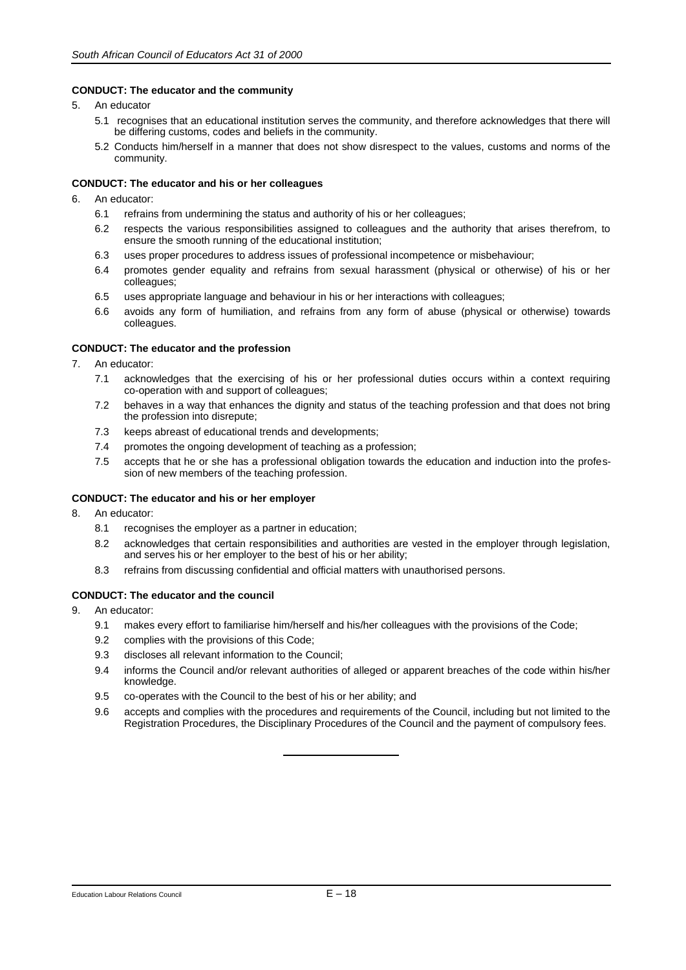#### **CONDUCT: The educator and the community**

- 5. An educator
	- 5.1 recognises that an educational institution serves the community, and therefore acknowledges that there will be differing customs, codes and beliefs in the community.
	- 5.2 Conducts him/herself in a manner that does not show disrespect to the values, customs and norms of the community.

#### **CONDUCT: The educator and his or her colleagues**

- 6. An educator:
	- 6.1 refrains from undermining the status and authority of his or her colleagues;
	- 6.2 respects the various responsibilities assigned to colleagues and the authority that arises therefrom, to ensure the smooth running of the educational institution;
	- 6.3 uses proper procedures to address issues of professional incompetence or misbehaviour;
	- 6.4 promotes gender equality and refrains from sexual harassment (physical or otherwise) of his or her colleagues;
	- 6.5 uses appropriate language and behaviour in his or her interactions with colleagues;
	- 6.6 avoids any form of humiliation, and refrains from any form of abuse (physical or otherwise) towards colleagues.

#### **CONDUCT: The educator and the profession**

- 7. An educator:
	- 7.1 acknowledges that the exercising of his or her professional duties occurs within a context requiring co-operation with and support of colleagues;
	- 7.2 behaves in a way that enhances the dignity and status of the teaching profession and that does not bring the profession into disrepute;
	- 7.3 keeps abreast of educational trends and developments;
	- 7.4 promotes the ongoing development of teaching as a profession;
	- 7.5 accepts that he or she has a professional obligation towards the education and induction into the profession of new members of the teaching profession.

# **CONDUCT: The educator and his or her employer**

- 8. An educator:
	- 8.1 recognises the employer as a partner in education;
	- 8.2 acknowledges that certain responsibilities and authorities are vested in the employer through legislation, and serves his or her employer to the best of his or her ability;
	- 8.3 refrains from discussing confidential and official matters with unauthorised persons.

#### **CONDUCT: The educator and the council**

- 9. An educator:
	- 9.1 makes every effort to familiarise him/herself and his/her colleagues with the provisions of the Code;
	- 9.2 complies with the provisions of this Code;
	- 9.3 discloses all relevant information to the Council;
	- 9.4 informs the Council and/or relevant authorities of alleged or apparent breaches of the code within his/her knowledge.
	- 9.5 co-operates with the Council to the best of his or her ability; and
	- 9.6 accepts and complies with the procedures and requirements of the Council, including but not limited to the Registration Procedures, the Disciplinary Procedures of the Council and the payment of compulsory fees.